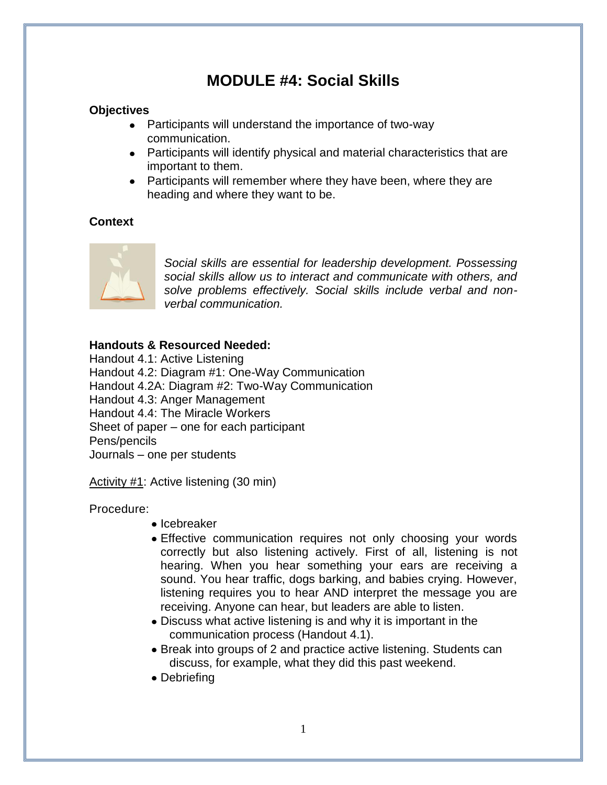### **MODULE #4: Social Skills**

#### **Objectives**

- Participants will understand the importance of two-way communication.
- Participants will identify physical and material characteristics that are important to them.
- Participants will remember where they have been, where they are heading and where they want to be.

#### **Context**



*Social skills are essential for leadership development. Possessing social skills allow us to interact and communicate with others, and solve problems effectively. Social skills include verbal and nonverbal communication.*

#### **Handouts & Resourced Needed:**

Handout 4.1: Active Listening Handout 4.2: Diagram #1: One-Way Communication Handout 4.2A: Diagram #2: Two-Way Communication Handout 4.3: Anger Management Handout 4.4: The Miracle Workers Sheet of paper – one for each participant Pens/pencils Journals – one per students

Activity #1: Active listening (30 min)

Procedure:

- $\bullet$  Icebreaker
- Effective communication requires not only choosing your words correctly but also listening actively. First of all, listening is not hearing. When you hear something your ears are receiving a sound. You hear traffic, dogs barking, and babies crying. However, listening requires you to hear AND interpret the message you are receiving. Anyone can hear, but leaders are able to listen.
- Discuss what active listening is and why it is important in the communication process (Handout 4.1).
- Break into groups of 2 and practice active listening. Students can discuss, for example, what they did this past weekend.
- Debriefing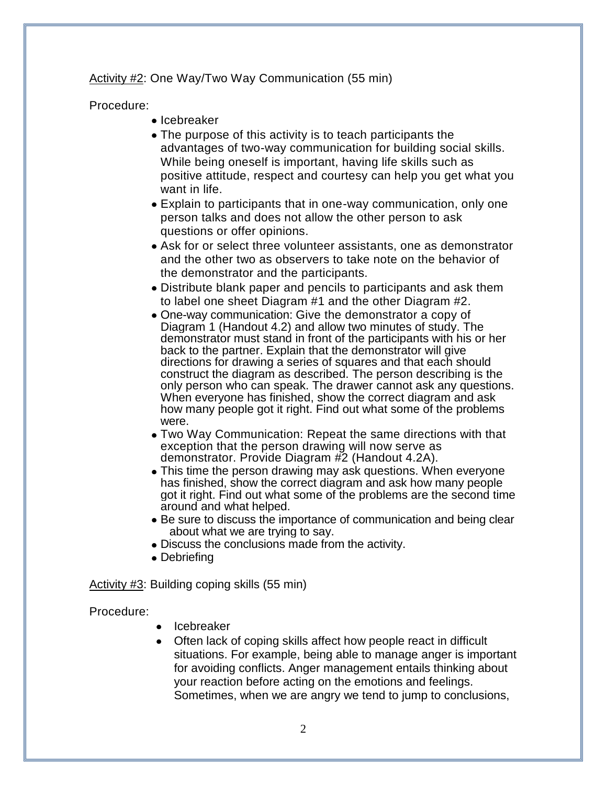Activity #2: One Way/Two Way Communication (55 min)

Procedure:

- $\bullet$  Icebreaker
- The purpose of this activity is to teach participants the advantages of two-way communication for building social skills. While being oneself is important, having life skills such as positive attitude, respect and courtesy can help you get what you want in life.
- Explain to participants that in one-way communication, only one person talks and does not allow the other person to ask questions or offer opinions.
- Ask for or select three volunteer assistants, one as demonstrator and the other two as observers to take note on the behavior of the demonstrator and the participants.
- Distribute blank paper and pencils to participants and ask them to label one sheet Diagram #1 and the other Diagram #2.
- One-way communication: Give the demonstrator a copy of Diagram 1 (Handout 4.2) and allow two minutes of study. The demonstrator must stand in front of the participants with his or her back to the partner. Explain that the demonstrator will give directions for drawing a series of squares and that each should construct the diagram as described. The person describing is the only person who can speak. The drawer cannot ask any questions. When everyone has finished, show the correct diagram and ask how many people got it right. Find out what some of the problems were.
- Two Way Communication: Repeat the same directions with that exception that the person drawing will now serve as demonstrator. Provide Diagram #2 (Handout 4.2A).
- This time the person drawing may ask questions. When everyone has finished, show the correct diagram and ask how many people got it right. Find out what some of the problems are the second time around and what helped.
- Be sure to discuss the importance of communication and being clear about what we are trying to say.
- Discuss the conclusions made from the activity.
- Debriefing

Activity #3: Building coping skills (55 min)

Procedure:

- Icebreaker
- Often lack of coping skills affect how people react in difficult  $\bullet$ situations. For example, being able to manage anger is important for avoiding conflicts. Anger management entails thinking about your reaction before acting on the emotions and feelings. Sometimes, when we are angry we tend to jump to conclusions,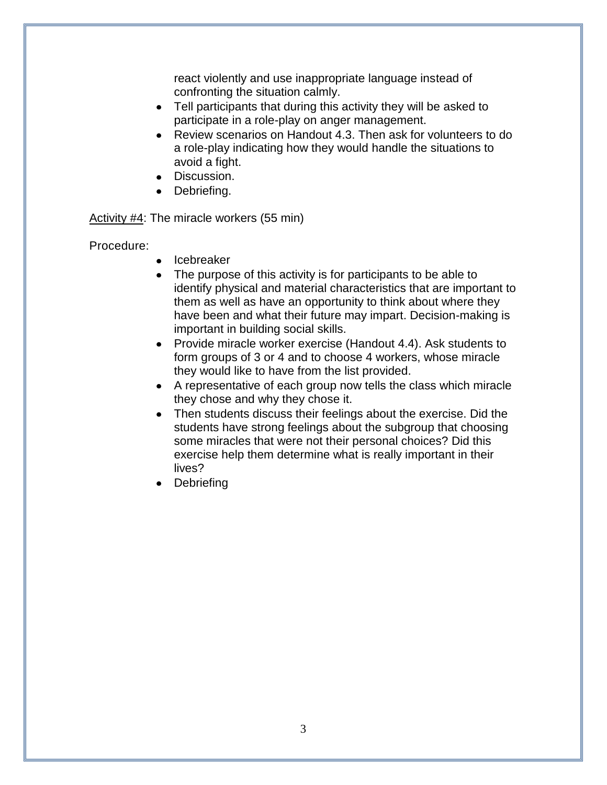react violently and use inappropriate language instead of confronting the situation calmly.

- Tell participants that during this activity they will be asked to participate in a role-play on anger management.
- Review scenarios on Handout 4.3. Then ask for volunteers to do a role-play indicating how they would handle the situations to avoid a fight.
- Discussion.
- Debriefing.

Activity #4: The miracle workers (55 min)

Procedure:

- Icebreaker
- The purpose of this activity is for participants to be able to identify physical and material characteristics that are important to them as well as have an opportunity to think about where they have been and what their future may impart. Decision-making is important in building social skills.
- Provide miracle worker exercise (Handout 4.4). Ask students to form groups of 3 or 4 and to choose 4 workers, whose miracle they would like to have from the list provided.
- A representative of each group now tells the class which miracle they chose and why they chose it.
- Then students discuss their feelings about the exercise. Did the students have strong feelings about the subgroup that choosing some miracles that were not their personal choices? Did this exercise help them determine what is really important in their lives?
- Debriefing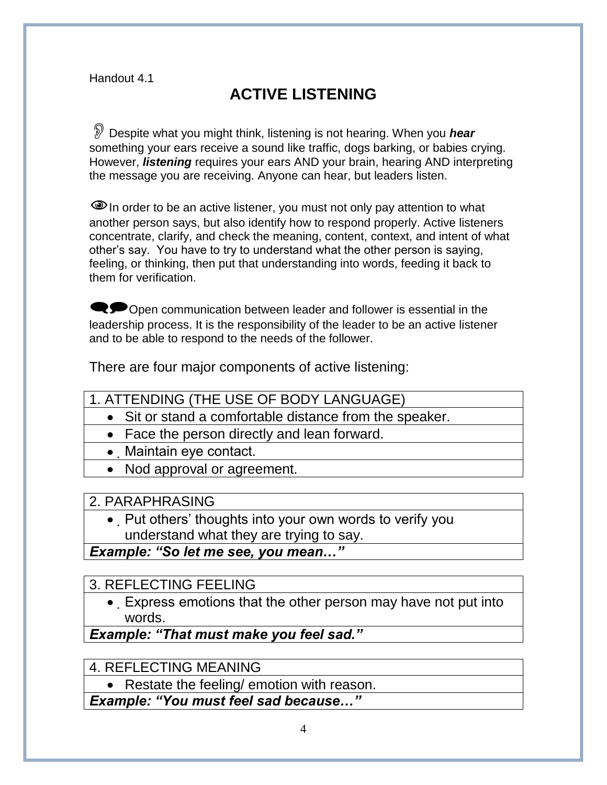# **ACTIVE LISTENING**

Despite what you might think, listening is not hearing. When you *hear* something your ears receive a sound like traffic, dogs barking, or babies crying. However, *listening* requires your ears AND your brain, hearing AND interpreting the message you are receiving. Anyone can hear, but leaders listen.

 $\bullet$  In order to be an active listener, you must not only pay attention to what another person says, but also identify how to respond properly. Active listeners concentrate, clarify, and check the meaning, content, context, and intent of what other's say. You have to try to understand what the other person is saying, feeling, or thinking, then put that understanding into words, feeding it back to them for verification.

Open communication between leader and follower is essential in the leadership process. It is the responsibility of the leader to be an active listener and to be able to respond to the needs of the follower.

There are four major components of active listening:

- 1. ATTENDING (THE USE OF BODY LANGUAGE)
	- Sit or stand a comfortable distance from the speaker.
	- Face the person directly and lean forward.
	- Maintain eye contact.
	- Nod approval or agreement.

#### 2. PARAPHRASING

• Put others' thoughts into your own words to verify you understand what they are trying to say.

*Example: "So let me see, you mean…"*

### 3. REFLECTING FEELING

Express emotions that the other person may have not put into words.

*Example: "That must make you feel sad."*

4. REFLECTING MEANING

• Restate the feeling/ emotion with reason.

*Example: "You must feel sad because…"*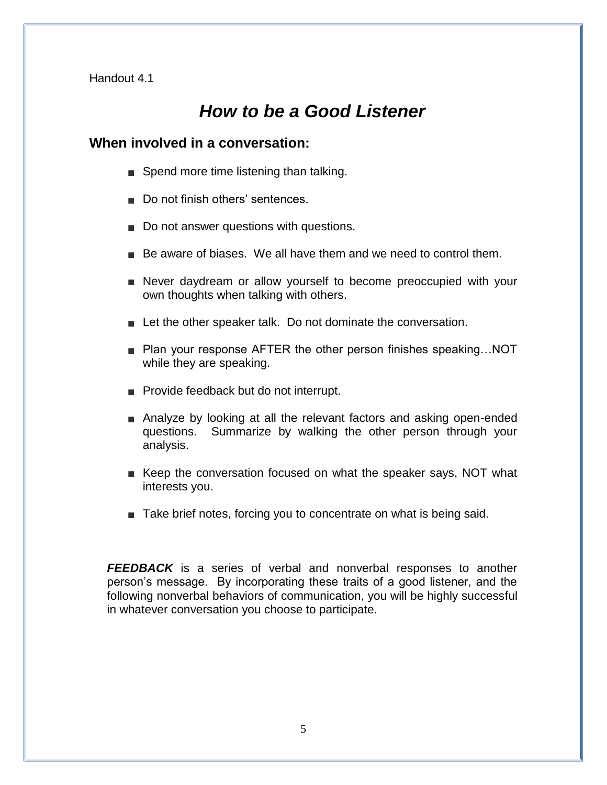## *How to be a Good Listener*

#### **When involved in a conversation:**

- Spend more time listening than talking.
- Do not finish others' sentences
- Do not answer questions with questions.
- $\blacksquare$  Be aware of biases. We all have them and we need to control them.
- Never daydream or allow yourself to become preoccupied with your own thoughts when talking with others.
- **Let the other speaker talk. Do not dominate the conversation.**
- Plan your response AFTER the other person finishes speaking...NOT while they are speaking.
- **Provide feedback but do not interrupt.**
- Analyze by looking at all the relevant factors and asking open-ended questions. Summarize by walking the other person through your analysis.
- Exteep the conversation focused on what the speaker says, NOT what interests you.
- Take brief notes, forcing you to concentrate on what is being said.

*FEEDBACK* is a series of verbal and nonverbal responses to another person's message. By incorporating these traits of a good listener, and the following nonverbal behaviors of communication, you will be highly successful in whatever conversation you choose to participate.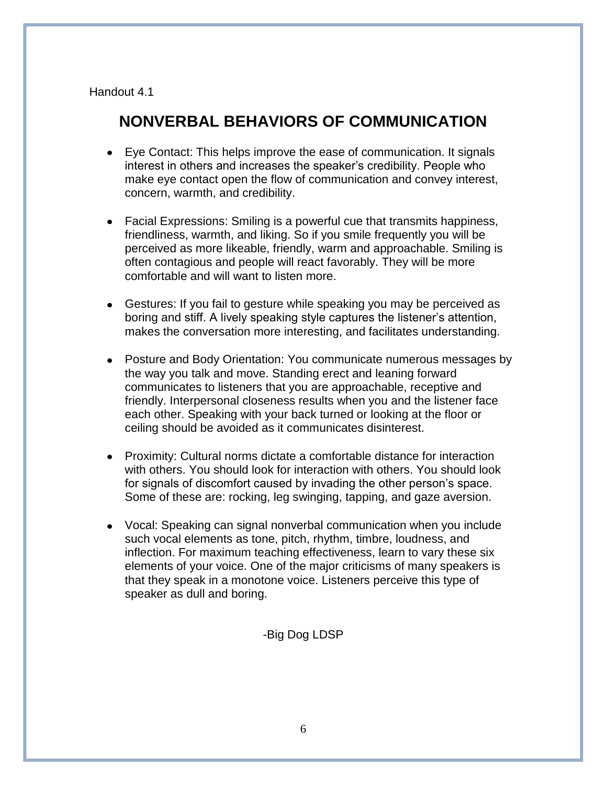### **NONVERBAL BEHAVIORS OF COMMUNICATION**

- Eye Contact: This helps improve the ease of communication. It signals interest in others and increases the speaker's credibility. People who make eye contact open the flow of communication and convey interest, concern, warmth, and credibility.
- Facial Expressions: Smiling is a powerful cue that transmits happiness, friendliness, warmth, and liking. So if you smile frequently you will be perceived as more likeable, friendly, warm and approachable. Smiling is often contagious and people will react favorably. They will be more comfortable and will want to listen more.
- Gestures: If you fail to gesture while speaking you may be perceived as boring and stiff. A lively speaking style captures the listener's attention, makes the conversation more interesting, and facilitates understanding.
- Posture and Body Orientation: You communicate numerous messages by the way you talk and move. Standing erect and leaning forward communicates to listeners that you are approachable, receptive and friendly. Interpersonal closeness results when you and the listener face each other. Speaking with your back turned or looking at the floor or ceiling should be avoided as it communicates disinterest.
- Proximity: Cultural norms dictate a comfortable distance for interaction with others. You should look for interaction with others. You should look for signals of discomfort caused by invading the other person's space. Some of these are: rocking, leg swinging, tapping, and gaze aversion.
- Vocal: Speaking can signal nonverbal communication when you include such vocal elements as tone, pitch, rhythm, timbre, loudness, and inflection. For maximum teaching effectiveness, learn to vary these six elements of your voice. One of the major criticisms of many speakers is that they speak in a monotone voice. Listeners perceive this type of speaker as dull and boring.

#### -Big Dog LDSP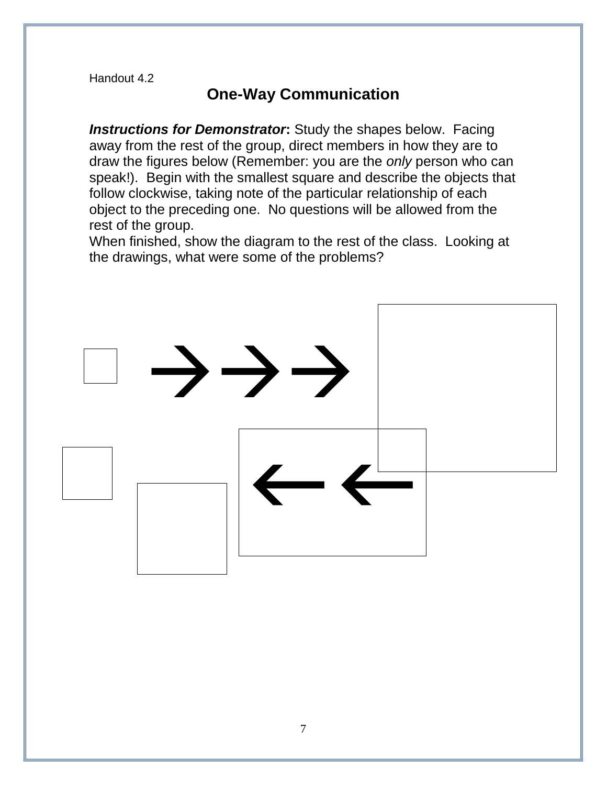### **One-Way Communication**

*Instructions for Demonstrator***:** Study the shapes below. Facing away from the rest of the group, direct members in how they are to draw the figures below (Remember: you are the *only* person who can speak!). Begin with the smallest square and describe the objects that follow clockwise, taking note of the particular relationship of each object to the preceding one. No questions will be allowed from the rest of the group.

When finished, show the diagram to the rest of the class. Looking at the drawings, what were some of the problems?

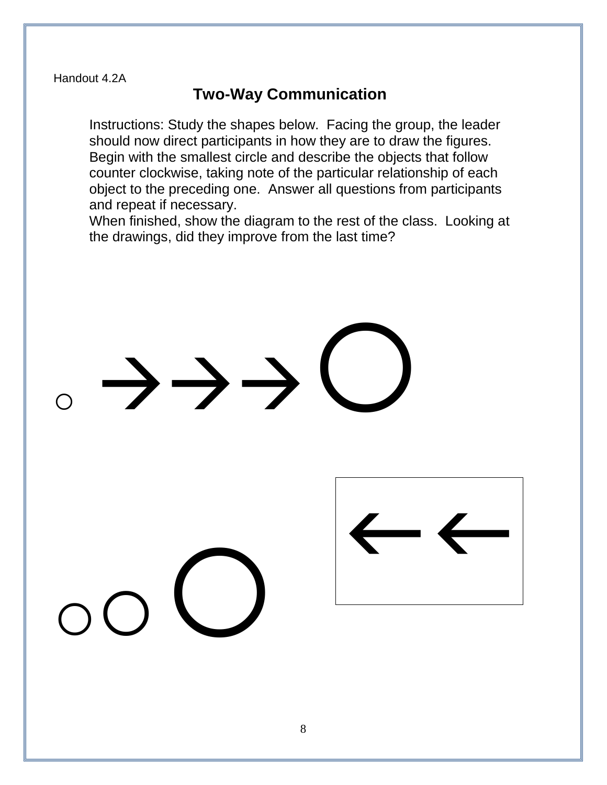### **Two-Way Communication**

Instructions: Study the shapes below. Facing the group, the leader should now direct participants in how they are to draw the figures. Begin with the smallest circle and describe the objects that follow counter clockwise, taking note of the particular relationship of each object to the preceding one. Answer all questions from participants and repeat if necessary.

When finished, show the diagram to the rest of the class. Looking at the drawings, did they improve from the last time?

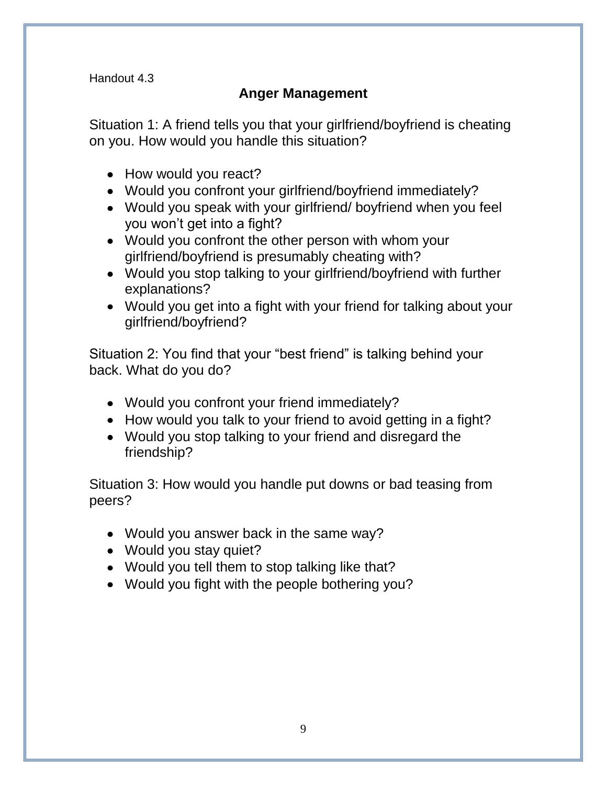### **Anger Management**

Situation 1: A friend tells you that your girlfriend/boyfriend is cheating on you. How would you handle this situation?

- How would you react?
- Would you confront your girlfriend/boyfriend immediately?
- Would you speak with your girlfriend/ boyfriend when you feel you won't get into a fight?
- Would you confront the other person with whom your girlfriend/boyfriend is presumably cheating with?
- Would you stop talking to your girlfriend/boyfriend with further explanations?
- Would you get into a fight with your friend for talking about your girlfriend/boyfriend?

Situation 2: You find that your "best friend" is talking behind your back. What do you do?

- Would you confront your friend immediately?
- How would you talk to your friend to avoid getting in a fight?
- Would you stop talking to your friend and disregard the friendship?

Situation 3: How would you handle put downs or bad teasing from peers?

- Would you answer back in the same way?
- Would you stay quiet?
- Would you tell them to stop talking like that?
- Would you fight with the people bothering you?